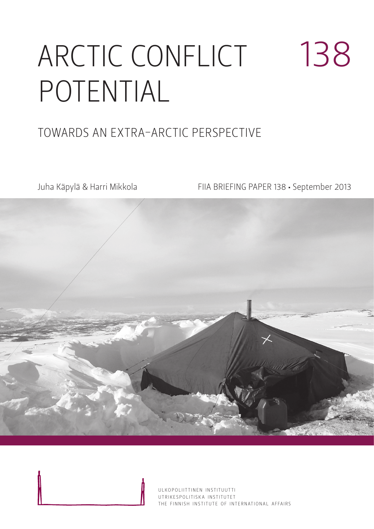# ARCTIC CONFLICT POTENTIAL 138

### TOWARDS AN EXTRA-ARCTIC PERSPECTIVE

Juha Käpylä & Harri Mikkola FIIA BRIEFING PAPER 138 • September 2013



ULKOPOLIITTINEN INSTITUUTTI UTRIKESPOLITISK A INSTITUTET THE FINNISH INSTITUTE OF INTERNATIONAL AFFAIRS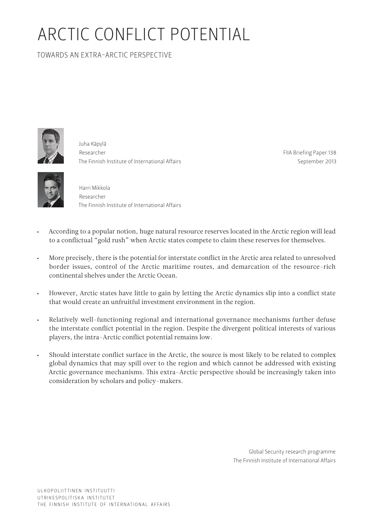## ARCTIC CONFLICT POTENTIAL

TOWARDS AN EXTRA-ARCTIC PERSPECTIVE



Juha Käpylä Researcher The Finnish Institute of International Affairs

FIIA Briefing Paper 138 September 2013



Harri Mikkola Researcher The Finnish Institute of International Affairs

- According to a popular notion, huge natural resource reserves located in the Arctic region will lead to a conflictual "gold rush" when Arctic states compete to claim these reserves for themselves.
- • More precisely, there is the potential for interstate conflict in the Arctic area related to unresolved border issues, control of the Arctic maritime routes, and demarcation of the resource-rich continental shelves under the Arctic Ocean.
- • However, Arctic states have little to gain by letting the Arctic dynamics slip into a conflict state that would create an unfruitful investment environment in the region.
- • Relatively well-functioning regional and international governance mechanisms further defuse the interstate conflict potential in the region. Despite the divergent political interests of various players, the intra-Arctic conflict potential remains low.
- Should interstate conflict surface in the Arctic, the source is most likely to be related to complex global dynamics that may spill over to the region and which cannot be addressed with existing Arctic governance mechanisms. This extra-Arctic perspective should be increasingly taken into consideration by scholars and policy-makers.

Global Security research programme The Finnish Institute of International Affairs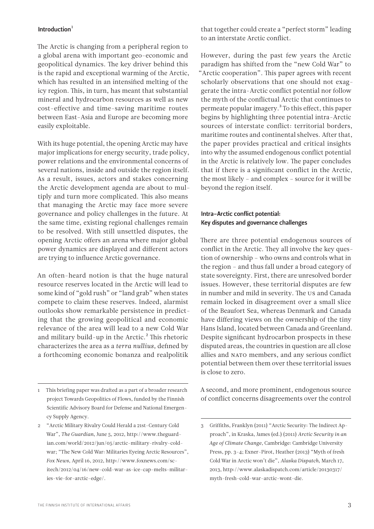#### Introduction $1$

The Arctic is changing from a peripheral region to a global arena with important geo-economic and geopolitical dynamics. The key driver behind this is the rapid and exceptional warming of the Arctic, which has resulted in an intensified melting of the icy region. This, in turn, has meant that substantial mineral and hydrocarbon resources as well as new cost-effective and time-saving maritime routes between East-Asia and Europe are becoming more easily exploitable.

With its huge potential, the opening Arctic may have major implications for energy security, trade policy, power relations and the environmental concerns of several nations, inside and outside the region itself. As a result, issues, actors and stakes concerning the Arctic development agenda are about to multiply and turn more complicated. This also means that managing the Arctic may face more severe governance and policy challenges in the future. At the same time, existing regional challenges remain to be resolved. With still unsettled disputes, the opening Arctic offers an arena where major global power dynamics are displayed and different actors are trying to influence Arctic governance.

An often-heard notion is that the huge natural resource reserves located in the Arctic will lead to some kind of "gold rush" or "land grab" when states compete to claim these reserves. Indeed, alarmist outlooks show remarkable persistence in predicting that the growing geopolitical and economic relevance of the area will lead to a new Cold War and military build-up in the Arctic. $<sup>2</sup>$  This rhetoric</sup> characterizes the area as a *terra nullius,* defined by a forthcoming economic bonanza and realpolitik

that together could create a "perfect storm" leading to an interstate Arctic conflict.

However, during the past few years the Arctic paradigm has shifted from the "new Cold War" to "Arctic cooperation". This paper agrees with recent scholarly observations that one should not exaggerate the intra-Arctic conflict potential nor follow the myth of the conflictual Arctic that continues to permeate popular imagery.3 To this effect, this paper begins by highlighting three potential intra-Arctic sources of interstate conflict: territorial borders, maritime routes and continental shelves. After that, the paper provides practical and critical insights into why the assumed endogenous conflict potential in the Arctic is relatively low. The paper concludes that if there is a significant conflict in the Arctic, the most likely – and complex – source for it will be beyond the region itself.

#### Intra-Arctic conflict potential: Key disputes and governance challenges

There are three potential endogenous sources of conflict in the Arctic. They all involve the key question of ownership – who owns and controls what in the region – and thus fall under a broad category of state sovereignty. First, there are unresolved border issues. However, these territorial disputes are few in number and mild in severity. The US and Canada remain locked in disagreement over a small slice of the Beaufort Sea, whereas Denmark and Canada have differing views on the ownership of the tiny Hans Island, located between Canada and Greenland. Despite significant hydrocarbon prospects in these disputed areas, the countries in question are all close allies and NATO members, and any serious conflict potential between them over these territorial issues is close to zero.

A second, and more prominent, endogenous source of conflict concerns disagreements over the control

<sup>1</sup> This briefing paper was drafted as a part of a broader research project Towards Geopolitics of Flows, funded by the Finnish Scientific Advisory Board for Defense and National Emergency Supply Agency.

<sup>2 &</sup>quot;Arctic Military Rivalry Could Herald a 21st-Century Cold War", *The Guardian*, June 5, 2012, [http://www.theguard](http://www.theguardian.com/world/2012/jun/05/arctic-military-rivalry-cold-war)[ian.com/world/2012/jun/05/arctic-military-rivalry-cold](http://www.theguardian.com/world/2012/jun/05/arctic-military-rivalry-cold-war)[war](http://www.theguardian.com/world/2012/jun/05/arctic-military-rivalry-cold-war); "The New Cold War: Militaries Eyeing Arctic Resources", *Fox News*, April 16, 2012, [http://www.foxnews.com/sc](http://www.foxnews.com/scitech/2012/04/16/new-cold-war-as-ice-cap-melts-militaries-vie-for-arctic-edge/)[itech/2012/04/16/new-cold-war-as-ice-cap-melts-militar](http://www.foxnews.com/scitech/2012/04/16/new-cold-war-as-ice-cap-melts-militaries-vie-for-arctic-edge/)[ies-vie-for-arctic-edge/.](http://www.foxnews.com/scitech/2012/04/16/new-cold-war-as-ice-cap-melts-militaries-vie-for-arctic-edge/)

<sup>3</sup> Griffiths, Franklyn (2011) "Arctic Security: The Indirect Approach", in Kraska, James (ed.) (2011) *Arctic Security in an Age of Climate Change*, Cambridge: Cambridge University Press, pp. 3-4; Exner-Pirot, Heather (2013) "Myth of fresh Cold War in Arctic won't die", *Alaska Dispatch*, March 17, 2013, [http://www.alaskadispatch.com/article/20130317/](http://www.alaskadispatch.com/article/20130317/myth-fresh-cold-war-arctic-wont-die) [myth-fresh-cold-war-arctic-wont-die](http://www.alaskadispatch.com/article/20130317/myth-fresh-cold-war-arctic-wont-die).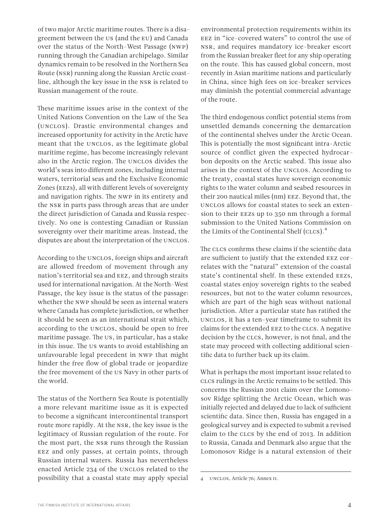of two major Arctic maritime routes. There is a disagreement between the US (and the EU) and Canada over the status of the North-West Passage (NWP) running through the Canadian archipelago. Similar dynamics remain to be resolved in the Northern Sea Route (NSR) running along the Russian Arctic coastline, although the key issue in the NSR is related to Russian management of the route.

These maritime issues arise in the context of the United Nations Convention on the Law of the Sea (UNCLOS). Drastic environmental changes and increased opportunity for activity in the Arctic have meant that the UNCLOS, as the legitimate global maritime regime, has become increasingly relevant also in the Arctic region. The UNCLOS divides the world's seas into different zones, including internal waters, territorial seas and the Exclusive Economic Zones (EEZs), all with different levels of sovereignty and navigation rights. The NWP in its entirety and the NSR in parts pass through areas that are under the direct jurisdiction of Canada and Russia respectively. No one is contesting Canadian or Russian sovereignty over their maritime areas. Instead, the disputes are about the interpretation of the UNCLOS.

According to the UNCLOS, foreign ships and aircraft are allowed freedom of movement through any nation's territorial sea and EEZ, and through straits used for international navigation. At the North-West Passage, the key issue is the status of the passage: whether the NWP should be seen as internal waters where Canada has complete jurisdiction, or whether it should be seen as an international strait which, according to the UNCLOS, should be open to free maritime passage. The US, in particular, has a stake in this issue. The US wants to avoid establishing an unfavourable legal precedent in NWP that might hinder the free flow of global trade or jeopardize the free movement of the US Navy in other parts of the world.

The status of the Northern Sea Route is potentially a more relevant maritime issue as it is expected to become a significant intercontinental transport route more rapidly. At the NSR, the key issue is the legitimacy of Russian regulation of the route. For the most part, the NSR runs through the Russian EEZ and only passes, at certain points, through Russian internal waters. Russia has nevertheless enacted Article 234 of the UNCLOS related to the possibility that a coastal state may apply special environmental protection requirements within its EEZ in "ice-covered waters" to control the use of NSR, and requires mandatory ice-breaker escort from the Russian breaker fleet for any ship operating on the route. This has caused global concern, most recently in Asian maritime nations and particularly in China, since high fees on ice-breaker services may diminish the potential commercial advantage of the route.

The third endogenous conflict potential stems from unsettled demands concerning the demarcation of the continental shelves under the Arctic Ocean. This is potentially the most significant intra-Arctic source of conflict given the expected hydrocarbon deposits on the Arctic seabed. This issue also arises in the context of the UNCLOS. According to the treaty, coastal states have sovereign economic rights to the water column and seabed resources in their 200 nautical miles (nm) EEZ. Beyond that, the UNCLOS allows for coastal states to seek an extension to their EEZs up to 350 nm through a formal submission to the United Nations Commission on the Limits of the Continental Shelf (CLCS).<sup>4</sup>

The CLCS confirms these claims if the scientific data are sufficient to justify that the extended EEZ correlates with the "natural" extension of the coastal state's continental shelf. In these extended EEZs, coastal states enjoy sovereign rights to the seabed resources, but not to the water column resources, which are part of the high seas without national jurisdiction. After a particular state has ratified the UNCLOS, it has a ten-year timeframe to submit its claims for the extended EEZ to the CLCS. A negative decision by the CLCS, however, is not final, and the state may proceed with collecting additional scientific data to further back up its claim.

What is perhaps the most important issue related to CLCS rulings in the Arctic remains to be settled. This concerns the Russian 2001 claim over the Lomonosov Ridge splitting the Arctic Ocean, which was initially rejected and delayed due to lack of sufficient scientific data. Since then, Russia has engaged in a geological survey and is expected to submit a revised claim to the CLCS by the end of 2013. In addition to Russia, Canada and Denmark also argue that the Lomonosov Ridge is a natural extension of their

<sup>4</sup> UNCLOS, Article 76; Annex II.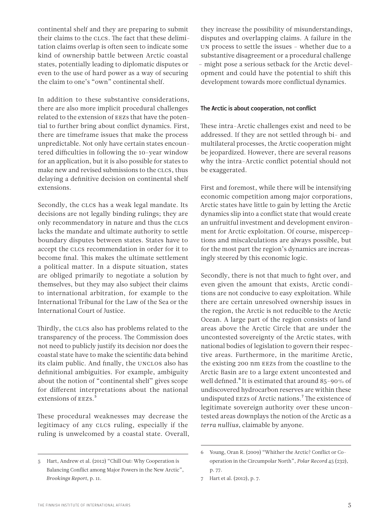continental shelf and they are preparing to submit their claims to the CLCS. The fact that these delimitation claims overlap is often seen to indicate some kind of ownership battle between Arctic coastal states, potentially leading to diplomatic disputes or even to the use of hard power as a way of securing the claim to one's "own" continental shelf.

In addition to these substantive considerations, there are also more implicit procedural challenges related to the extension of EEZs that have the potential to further bring about conflict dynamics. First, there are timeframe issues that make the process unpredictable. Not only have certain states encountered difficulties in following the 10-year window for an application, but it is also possible for states to make new and revised submissions to the CLCS, thus delaying a definitive decision on continental shelf extensions.

Secondly, the CLCS has a weak legal mandate. Its decisions are not legally binding rulings; they are only recommendatory in nature and thus the CLCS lacks the mandate and ultimate authority to settle boundary disputes between states. States have to accept the CLCS recommendation in order for it to become final. This makes the ultimate settlement a political matter. In a dispute situation, states are obliged primarily to negotiate a solution by themselves, but they may also subject their claims to international arbitration, for example to the International Tribunal for the Law of the Sea or the International Court of Justice.

Thirdly, the CLCS also has problems related to the transparency of the process. The Commission does not need to publicly justify its decision nor does the coastal state have to make the scientific data behind its claim public. And finally, the UNCLOS also has definitional ambiguities. For example, ambiguity about the notion of "continental shelf" gives scope for different interpretations about the national extensions of  $EES.<sup>5</sup>$ 

These procedural weaknesses may decrease the legitimacy of any CLCS ruling, especially if the ruling is unwelcomed by a coastal state. Overall,

they increase the possibility of misunderstandings, disputes and overlapping claims. A failure in the UN process to settle the issues – whether due to a substantive disagreement or a procedural challenge – might pose a serious setback for the Arctic development and could have the potential to shift this development towards more conflictual dynamics.

#### The Arctic is about cooperation, not conflict

These intra-Arctic challenges exist and need to be addressed. If they are not settled through bi- and multilateral processes, the Arctic cooperation might be jeopardized. However, there are several reasons why the intra-Arctic conflict potential should not be exaggerated.

First and foremost, while there will be intensifying economic competition among major corporations, Arctic states have little to gain by letting the Arctic dynamics slip into a conflict state that would create an unfruitful investment and development environment for Arctic exploitation. Of course, misperceptions and miscalculations are always possible, but for the most part the region's dynamics are increasingly steered by this economic logic.

Secondly, there is not that much to fight over, and even given the amount that exists, Arctic conditions are not conducive to easy exploitation. While there are certain unresolved ownership issues in the region, the Arctic is not reducible to the Arctic Ocean. A large part of the region consists of land areas above the Arctic Circle that are under the uncontested sovereignty of the Arctic states, with national bodies of legislation to govern their respective areas. Furthermore, in the maritime Arctic, the existing 200 nm EEZs from the coastline to the Arctic Basin are to a large extent uncontested and well defined.<sup>6</sup> It is estimated that around 85-90% of undiscovered hydrocarbon reserves are within these undisputed EEZs of Arctic nations.<sup>7</sup> The existence of legitimate sovereign authority over these uncontested areas downplays the notion of the Arctic as a *terra nullius,* claimable by anyone.

<sup>5</sup> Hart, Andrew et al. (2012) "Chill Out: Why Cooperation is Balancing Conflict among Major Powers in the New Arctic", *Brookings Report*, p. 11.

<sup>6</sup> Young, Oran R. (2009) "Whither the Arctic? Conflict or Cooperation in the Circumpolar North", *Polar Record* 45 (232), p. 77.

<sup>7</sup> Hart et al. (2012), p. 7.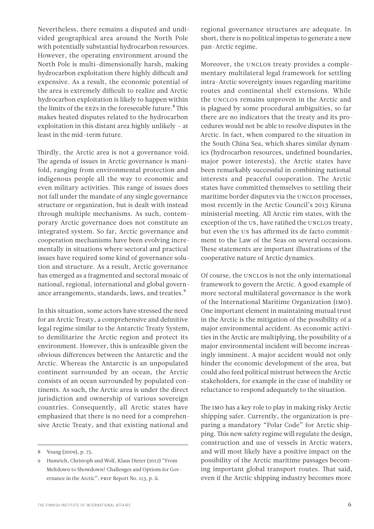Nevertheless, there remains a disputed and undivided geographical area around the North Pole with potentially substantial hydrocarbon resources. However, the operating environment around the North Pole is multi-dimensionally harsh, making hydrocarbon exploitation there highly difficult and expensive. As a result, the economic potential of the area is extremely difficult to realize and Arctic hydrocarbon exploitation is likely to happen within the limits of the EEZs in the foreseeable future.<sup>8</sup>This makes heated disputes related to the hydrocarbon exploitation in this distant area highly unlikely – at least in the mid-term future.

Thirdly, the Arctic area is not a governance void. The agenda of issues in Arctic governance is manifold, ranging from environmental protection and indigenous people all the way to economic and even military activities. This range of issues does not fall under the mandate of any single governance structure or organization, but is dealt with instead through multiple mechanisms. As such, contemporary Arctic governance does not constitute an integrated system. So far, Arctic governance and cooperation mechanisms have been evolving incrementally in situations where sectoral and practical issues have required some kind of governance solution and structure. As a result, Arctic governance has emerged as a fragmented and sectoral mosaic of national, regional, international and global governance arrangements, standards, laws, and treaties.<sup>9</sup>

In this situation, some actors have stressed the need for an Arctic Treaty, a comprehensive and definitive legal regime similar to the Antarctic Treaty System, to demilitarize the Arctic region and protect its environment. However, this is unfeasible given the obvious differences between the Antarctic and the Arctic. Whereas the Antarctic is an unpopulated continent surrounded by an ocean, the Arctic consists of an ocean surrounded by populated continents. As such, the Arctic area is under the direct jurisdiction and ownership of various sovereign countries. Consequently, all Arctic states have emphasized that there is no need for a comprehensive Arctic Treaty, and that existing national and

regional governance structures are adequate. In short, there is no political impetus to generate a new pan-Arctic regime.

Moreover, the UNCLOS treaty provides a complementary multilateral legal framework for settling intra-Arctic sovereignty issues regarding maritime routes and continental shelf extensions. While the UNCLOS remains unproven in the Arctic and is plagued by some procedural ambiguities, so far there are no indicators that the treaty and its procedures would not be able to resolve disputes in the Arctic. In fact, when compared to the situation in the South China Sea, which shares similar dynamics (hydrocarbon resources, undefined boundaries, major power interests), the Arctic states have been remarkably successful in combining national interests and peaceful cooperation. The Arctic states have committed themselves to settling their maritime border disputes via the UNCLOS processes, most recently in the Arctic Council's 2013 Kiruna ministerial meeting. All Arctic rim states, with the exception of the US, have ratified the UNCLOS treaty, but even the US has affirmed its de facto commitment to the Law of the Seas on several occasions. These statements are important illustrations of the cooperative nature of Arctic dynamics.

Of course, the UNCLOS is not the only international framework to govern the Arctic. A good example of more sectoral multilateral governance is the work of the International Maritime Organization (IMO). One important element in maintaining mutual trust in the Arctic is the mitigation of the possibility of a major environmental accident. As economic activities in the Arctic are multiplying, the possibility of a major environmental incident will become increasingly imminent. A major accident would not only hinder the economic development of the area, but could also feed political mistrust between the Arctic stakeholders, for example in the case of inability or reluctance to respond adequately to the situation.

The IMO has a key role to play in making risky Arctic shipping safer. Currently, the organization is preparing a mandatory "Polar Code" for Arctic shipping. This new safety regime will regulate the design, construction and use of vessels in Arctic waters, and will most likely have a positive impact on the possibility of the Arctic maritime passages becoming important global transport routes. That said, even if the Arctic shipping industry becomes more

<sup>8</sup> Young (2009), p. 75.

<sup>9</sup> Humrich, Christoph and Wolf, Klaus Dieter (2012) "From Meltdown to Showdown? Challenges and Options for Governance in the Arctic", PRIF Report No. 113, p. ii.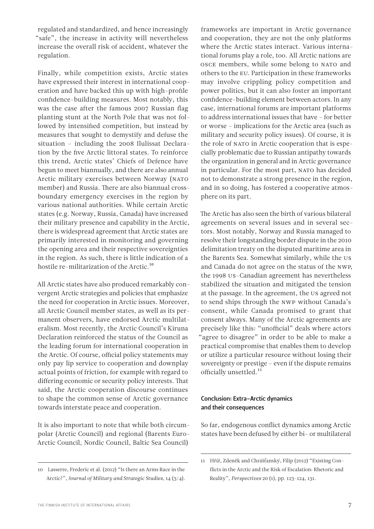regulated and standardized, and hence increasingly "safe", the increase in activity will nevertheless increase the overall risk of accident, whatever the regulation.

Finally, while competition exists, Arctic states have expressed their interest in international cooperation and have backed this up with high-profile confidence-building measures. Most notably, this was the case after the famous 2007 Russian flag planting stunt at the North Pole that was not followed by intensified competition, but instead by measures that sought to demystify and defuse the situation – including the 2008 Ilulissat Declaration by the five Arctic littoral states. To reinforce this trend, Arctic states' Chiefs of Defence have begun to meet biannually, and there are also annual Arctic military exercises between Norway (NATO member) and Russia. There are also biannual crossboundary emergency exercises in the region by various national authorities. While certain Arctic states (e.g. Norway, Russia, Canada) have increased their military presence and capability in the Arctic, there is widespread agreement that Arctic states are primarily interested in monitoring and governing the opening area and their respective sovereignties in the region. As such, there is little indication of a hostile re-militarization of the Arctic.<sup>10</sup>

All Arctic states have also produced remarkably convergent Arctic strategies and policies that emphasize the need for cooperation in Arctic issues. Moreover, all Arctic Council member states, as well as its permanent observers, have endorsed Arctic multilateralism. Most recently, the Arctic Council's Kiruna Declaration reinforced the status of the Council as the leading forum for international cooperation in the Arctic. Of course, official policy statements may only pay lip service to cooperation and downplay actual points of friction, for example with regard to differing economic or security policy interests. That said, the Arctic cooperation discourse continues to shape the common sense of Arctic governance towards interstate peace and cooperation.

It is also important to note that while both circumpolar (Arctic Council) and regional (Barents Euro-Arctic Council, Nordic Council, Baltic Sea Council)

frameworks are important in Arctic governance and cooperation, they are not the only platforms where the Arctic states interact. Various international forums play a role, too. All Arctic nations are OSCE members, while some belong to NATO and others to the EU. Participation in these frameworks may involve crippling policy competition and power politics, but it can also foster an important confidence-building element between actors. In any case, international forums are important platforms to address international issues that have – for better or worse – implications for the Arctic area (such as military and security policy issues). Of course, it is the role of NATO in Arctic cooperation that is especially problematic due to Russian antipathy towards the organization in general and in Arctic governance in particular. For the most part, NATO has decided not to demonstrate a strong presence in the region, and in so doing, has fostered a cooperative atmosphere on its part.

The Arctic has also seen the birth of various bilateral agreements on several issues and in several sectors. Most notably, Norway and Russia managed to resolve their longstanding border dispute in the 2010 delimitation treaty on the disputed maritime area in the Barents Sea. Somewhat similarly, while the US and Canada do not agree on the status of the NWP, the 1998 US-Canadian agreement has nevertheless stabilized the situation and mitigated the tension at the passage. In the agreement, the US agreed not to send ships through the NWP without Canada's consent, while Canada promised to grant that consent always. Many of the Arctic agreements are precisely like this: "unofficial" deals where actors "agree to disagree" in order to be able to make a practical compromise that enables them to develop or utilize a particular resource without losing their sovereignty or prestige – even if the dispute remains officially unsettled.<sup>11</sup>

#### Conclusion: Extra-Arctic dynamics and their consequences

So far, endogenous conflict dynamics among Arctic states have been defused by either bi- or multilateral

<sup>10</sup> Lasserre, Frederic et al. (2012) "Is there an Arms Race in the Arctic?", *Journal of Military and Strategic Studies*, 14 (3/4).

<sup>11</sup> Hříž, Zdeněk and Chrášťanský, Filip (2012) "Existing Conflicts in the Arctic and the Risk of Escalation: Rhetoric and Reality", *Perspectives* 20 (1), pp. 123-124, 131.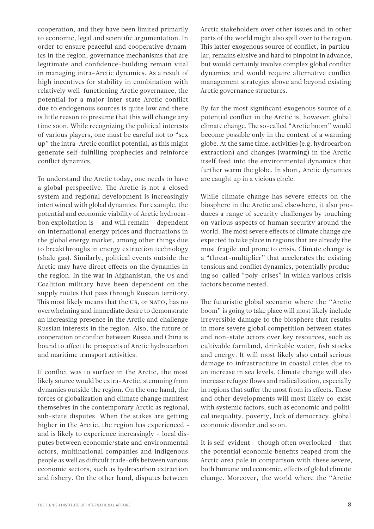cooperation, and they have been limited primarily to economic, legal and scientific argumentation. In order to ensure peaceful and cooperative dynamics in the region, governance mechanisms that are legitimate and confidence-building remain vital in managing intra-Arctic dynamics. As a result of high incentives for stability in combination with relatively well-functioning Arctic governance, the potential for a major inter-state Arctic conflict due to endogenous sources is quite low and there is little reason to presume that this will change any time soon. While recognizing the political interests of various players, one must be careful not to "sex up" the intra-Arctic conflict potential, as this might generate self-fulfilling prophecies and reinforce conflict dynamics.

To understand the Arctic today, one needs to have a global perspective. The Arctic is not a closed system and regional development is increasingly intertwined with global dynamics. For example, the potential and economic viability of Arctic hydrocarbon exploitation is – and will remain – dependent on international energy prices and fluctuations in the global energy market, among other things due to breakthroughs in energy extraction technology (shale gas). Similarly, political events outside the Arctic may have direct effects on the dynamics in the region. In the war in Afghanistan, the US and Coalition military have been dependent on the supply routes that pass through Russian territory. This most likely means that the US, or NATO, has no overwhelming and immediate desire to demonstrate an increasing presence in the Arctic and challenge Russian interests in the region. Also, the future of cooperation or conflict between Russia and China is bound to affect the prospects of Arctic hydrocarbon and maritime transport activities.

If conflict was to surface in the Arctic, the most likely source would be extra-Arctic, stemming from dynamics outside the region. On the one hand, the forces of globalization and climate change manifest themselves in the contemporary Arctic as regional, sub-state disputes. When the stakes are getting higher in the Arctic, the region has experienced – and is likely to experience increasingly – local disputes between economic/state and environmental actors, multinational companies and indigenous people as well as difficult trade-offs between various economic sectors, such as hydrocarbon extraction and fishery. On the other hand, disputes between

Arctic stakeholders over other issues and in other parts of the world might also spill over to the region. This latter exogenous source of conflict, in particular, remains elusive and hard to pinpoint in advance, but would certainly involve complex global conflict dynamics and would require alternative conflict management strategies above and beyond existing Arctic governance structures.

By far the most significant exogenous source of a potential conflict in the Arctic is, however, global climate change. The so-called "Arctic boom" would become possible only in the context of a warming globe. At the same time, activities (e.g. hydrocarbon extraction) and changes (warming) in the Arctic itself feed into the environmental dynamics that further warm the globe. In short, Arctic dynamics are caught up in a vicious circle.

While climate change has severe effects on the biosphere in the Arctic and elsewhere, it also produces a range of security challenges by touching on various aspects of human security around the world. The most severe effects of climate change are expected to take place in regions that are already the most fragile and prone to crisis. Climate change is a "threat-multiplier" that accelerates the existing tensions and conflict dynamics, potentially producing so-called "poly-crises" in which various crisis factors become nested.

The futuristic global scenario where the "Arctic boom" is going to take place will most likely include irreversible damage to the biosphere that results in more severe global competition between states and non-state actors over key resources, such as cultivable farmland, drinkable water, fish stocks and energy. It will most likely also entail serious damage to infrastructure in coastal cities due to an increase in sea levels. Climate change will also increase refugee flows and radicalization, especially in regions that suffer the most from its effects. These and other developments will most likely co-exist with systemic factors, such as economic and political inequality, poverty, lack of democracy, global economic disorder and so on.

It is self-evident – though often overlooked – that the potential economic benefits reaped from the Arctic area pale in comparison with these severe, both humane and economic, effects of global climate change. Moreover, the world where the "Arctic